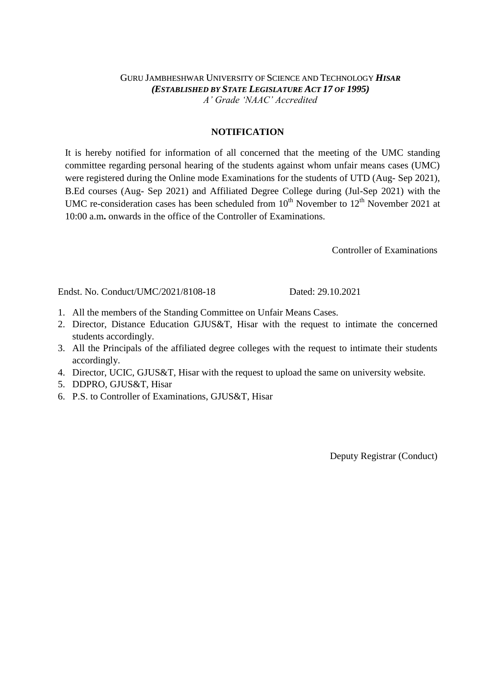## GURU JAMBHESHWAR UNIVERSITY OF SCIENCE AND TECHNOLOGY *HISAR (ESTABLISHED BY STATE LEGISLATURE ACT 17 OF 1995) A' Grade 'NAAC' Accredited*

## **NOTIFICATION**

It is hereby notified for information of all concerned that the meeting of the UMC standing committee regarding personal hearing of the students against whom unfair means cases (UMC) were registered during the Online mode Examinations for the students of UTD (Aug- Sep 2021), B.Ed courses (Aug- Sep 2021) and Affiliated Degree College during (Jul-Sep 2021) with the UMC re-consideration cases has been scheduled from  $10<sup>th</sup>$  November to  $12<sup>th</sup>$  November 2021 at 10:00 a.m**.** onwards in the office of the Controller of Examinations.

Controller of Examinations

Endst. No. Conduct/UMC/2021/8108-18 Dated: 29.10.2021

- 1. All the members of the Standing Committee on Unfair Means Cases.
- 2. Director, Distance Education GJUS&T, Hisar with the request to intimate the concerned students accordingly.
- 3. All the Principals of the affiliated degree colleges with the request to intimate their students accordingly.
- 4. Director, UCIC, GJUS&T, Hisar with the request to upload the same on university website.
- 5. DDPRO, GJUS&T, Hisar
- 6. P.S. to Controller of Examinations, GJUS&T, Hisar

Deputy Registrar (Conduct)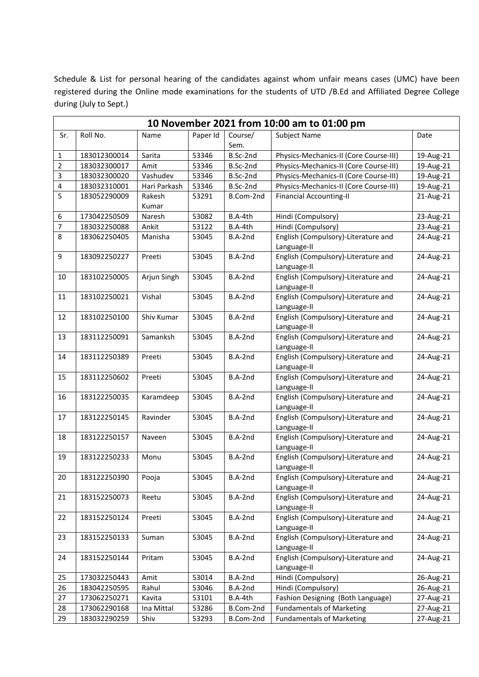Schedule & List for personal hearing of the candidates against whom unfair means cases (UMC) have been registered during the Online mode examinations for the students of UTD /B.Ed and Affiliated Degree College during (July to Sept.)

|                | 10 November 2021 from 10:00 am to 01:00 pm |              |          |                 |                                                    |           |  |  |
|----------------|--------------------------------------------|--------------|----------|-----------------|----------------------------------------------------|-----------|--|--|
| Sr.            | Roll No.                                   | Name         | Paper Id | Course/<br>Sem. | <b>Subject Name</b>                                | Date      |  |  |
| 1              | 183012300014                               | Sarita       | 53346    | B.Sc-2nd        | Physics-Mechanics-II (Core Course-III)             | 19-Aug-21 |  |  |
| $\overline{2}$ | 183032300017                               | Amit         | 53346    | B.Sc-2nd        | Physics-Mechanics-II (Core Course-III)             | 19-Aug-21 |  |  |
| 3              | 183032300020                               | Vashudev     | 53346    | B.Sc-2nd        | Physics-Mechanics-II (Core Course-III)             | 19-Aug-21 |  |  |
| 4              | 183032310001                               | Hari Parkash | 53346    | B.Sc-2nd        | Physics-Mechanics-II (Core Course-III)             | 19-Aug-21 |  |  |
| 5              | 183052290009                               | Rakesh       | 53291    | B.Com-2nd       | <b>Financial Accounting-II</b>                     | 21-Aug-21 |  |  |
|                |                                            | Kumar        |          |                 |                                                    |           |  |  |
| 6              | 173042250509                               | Naresh       | 53082    | B.A-4th         | Hindi (Compulsory)                                 | 23-Aug-21 |  |  |
| 7              | 183032250088                               | Ankit        | 53122    | B.A-4th         | Hindi (Compulsory)                                 | 23-Aug-21 |  |  |
| 8              | 183062250405                               | Manisha      | 53045    | B.A-2nd         | English (Compulsory)-Literature and<br>Language-II | 24-Aug-21 |  |  |
| 9              | 183092250227                               | Preeti       | 53045    | B.A-2nd         | English (Compulsory)-Literature and<br>Language-II | 24-Aug-21 |  |  |
| 10             | 183102250005                               | Arjun Singh  | 53045    | B.A-2nd         | English (Compulsory)-Literature and<br>Language-II | 24-Aug-21 |  |  |
| 11             | 183102250021                               | Vishal       | 53045    | B.A-2nd         | English (Compulsory)-Literature and<br>Language-II | 24-Aug-21 |  |  |
| 12             | 183102250100                               | Shiv Kumar   | 53045    | B.A-2nd         | English (Compulsory)-Literature and<br>Language-II | 24-Aug-21 |  |  |
| 13             | 183112250091                               | Samanksh     | 53045    | B.A-2nd         | English (Compulsory)-Literature and<br>Language-II | 24-Aug-21 |  |  |
| 14             | 183112250389                               | Preeti       | 53045    | B.A-2nd         | English (Compulsory)-Literature and<br>Language-II | 24-Aug-21 |  |  |
| 15             | 183112250602                               | Preeti       | 53045    | B.A-2nd         | English (Compulsory)-Literature and<br>Language-II | 24-Aug-21 |  |  |
| 16             | 183122250035                               | Karamdeep    | 53045    | B.A-2nd         | English (Compulsory)-Literature and<br>Language-II | 24-Aug-21 |  |  |
| 17             | 183122250145                               | Ravinder     | 53045    | B.A-2nd         | English (Compulsory)-Literature and<br>Language-II | 24-Aug-21 |  |  |
| 18             | 183122250157                               | Naveen       | 53045    | B.A-2nd         | English (Compulsory)-Literature and<br>Language-II | 24-Aug-21 |  |  |
| 19             | 183122250233                               | Monu         | 53045    | B.A-2nd         | English (Compulsory)-Literature and<br>Language-II | 24-Aug-21 |  |  |
| 20             | 183122250390                               | Pooja        | 53045    | B.A-2nd         | English (Compulsory)-Literature and<br>Language-II | 24-Aug-21 |  |  |
| 21             | 183152250073                               | Reetu        | 53045    | B.A-2nd         | English (Compulsory)-Literature and<br>Language-II | 24-Aug-21 |  |  |
| 22             | 183152250124                               | Preeti       | 53045    | B.A-2nd         | English (Compulsory)-Literature and<br>Language-II | 24-Aug-21 |  |  |
| 23             | 183152250133                               | Suman        | 53045    | B.A-2nd         | English (Compulsory)-Literature and<br>Language-II | 24-Aug-21 |  |  |
| 24             | 183152250144                               | Pritam       | 53045    | B.A-2nd         | English (Compulsory)-Literature and<br>Language-II | 24-Aug-21 |  |  |
| 25             | 173032250443                               | Amit         | 53014    | B.A-2nd         | Hindi (Compulsory)                                 | 26-Aug-21 |  |  |
| 26             | 183042250595                               | Rahul        | 53046    | B.A-2nd         | Hindi (Compulsory)                                 | 26-Aug-21 |  |  |
| 27             | 173062250271                               | Kavita       | 53101    | B.A-4th         | Fashion Designing (Both Language)                  | 27-Aug-21 |  |  |
| 28             | 173062290168                               | Ina Mittal   | 53286    | B.Com-2nd       | <b>Fundamentals of Marketing</b>                   | 27-Aug-21 |  |  |
| 29             | 183032290259                               | Shiv         | 53293    | B.Com-2nd       | <b>Fundamentals of Marketing</b>                   | 27-Aug-21 |  |  |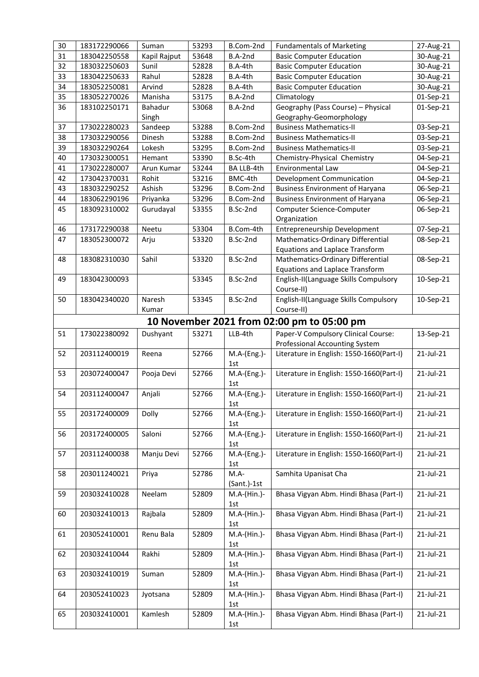| 30 | 183172290066 | Suman        | 53293 | B.Com-2nd          | <b>Fundamentals of Marketing</b>           | 27-Aug-21    |
|----|--------------|--------------|-------|--------------------|--------------------------------------------|--------------|
| 31 | 183042250558 | Kapil Rajput | 53648 | B.A-2nd            | <b>Basic Computer Education</b>            | 30-Aug-21    |
| 32 | 183032250603 | Sunil        | 52828 | B.A-4th            | <b>Basic Computer Education</b>            | 30-Aug-21    |
| 33 | 183042250633 | Rahul        | 52828 | B.A-4th            | <b>Basic Computer Education</b>            | 30-Aug-21    |
| 34 | 183052250081 | Arvind       | 52828 | B.A-4th            | <b>Basic Computer Education</b>            | 30-Aug-21    |
| 35 | 183052270026 | Manisha      | 53175 | B.A-2nd            | Climatology                                | 01-Sep-21    |
| 36 | 183102250171 | Bahadur      | 53068 | B.A-2nd            | Geography (Pass Course) - Physical         | 01-Sep-21    |
|    |              | Singh        |       |                    | Geography-Geomorphology                    |              |
| 37 | 173022280023 | Sandeep      | 53288 | B.Com-2nd          | <b>Business Mathematics-II</b>             | 03-Sep-21    |
| 38 | 173032290056 | Dinesh       | 53288 | B.Com-2nd          | <b>Business Mathematics-II</b>             | 03-Sep-21    |
| 39 | 183032290264 | Lokesh       | 53295 | B.Com-2nd          | <b>Business Mathematics-II</b>             | 03-Sep-21    |
| 40 | 173032300051 | Hemant       | 53390 | B.Sc-4th           | Chemistry-Physical Chemistry               | 04-Sep-21    |
| 41 | 173022280007 | Arun Kumar   | 53244 | BA LLB-4th         | Environmental Law                          | 04-Sep-21    |
| 42 | 173042370031 | Rohit        | 53216 | BMC-4th            | Development Communication                  | 04-Sep-21    |
| 43 | 183032290252 | Ashish       | 53296 | B.Com-2nd          | <b>Business Environment of Haryana</b>     | 06-Sep-21    |
| 44 | 183062290196 | Priyanka     | 53296 | B.Com-2nd          | <b>Business Environment of Haryana</b>     | 06-Sep-21    |
| 45 | 183092310002 | Gurudayal    | 53355 | B.Sc-2nd           | Computer Science-Computer<br>Organization  | 06-Sep-21    |
| 46 | 173172290038 | Neetu        | 53304 | B.Com-4th          | Entrepreneurship Development               | 07-Sep-21    |
| 47 | 183052300072 | Arju         | 53320 | B.Sc-2nd           | Mathematics-Ordinary Differential          | 08-Sep-21    |
|    |              |              |       |                    | <b>Equations and Laplace Transform</b>     |              |
| 48 | 183082310030 | Sahil        | 53320 | B.Sc-2nd           | Mathematics-Ordinary Differential          | 08-Sep-21    |
|    |              |              |       |                    | <b>Equations and Laplace Transform</b>     |              |
| 49 | 183042300093 |              | 53345 | B.Sc-2nd           | English-II(Language Skills Compulsory      | 10-Sep-21    |
|    |              |              |       |                    | Course-II)                                 |              |
| 50 | 183042340020 | Naresh       | 53345 | B.Sc-2nd           | English-II(Language Skills Compulsory      | 10-Sep-21    |
|    |              | Kumar        |       |                    | Course-II)                                 |              |
|    |              |              |       |                    | 10 November 2021 from 02:00 pm to 05:00 pm |              |
| 51 | 173022380092 | Dushyant     | 53271 | LLB-4th            | Paper-V Compulsory Clinical Course:        | 13-Sep-21    |
|    |              |              |       |                    | Professional Accounting System             |              |
| 52 | 203112400019 | Reena        | 52766 | M.A-(Eng.)-        | Literature in English: 1550-1660(Part-I)   | 21-Jul-21    |
|    |              |              |       | 1st                |                                            |              |
| 53 | 203072400047 | Pooja Devi   | 52766 | M.A-(Eng.)-        | Literature in English: 1550-1660(Part-I)   | 21-Jul-21    |
|    |              |              |       | 1st                |                                            |              |
| 54 | 203112400047 | Anjali       | 52766 | M.A-(Eng.)-<br>1st | Literature in English: 1550-1660(Part-I)   | 21-Jul-21    |
| 55 | 203172400009 | Dolly        | 52766 | M.A-(Eng.)-        | Literature in English: 1550-1660(Part-I)   | 21-Jul-21    |
|    |              |              |       | 1st                |                                            |              |
| 56 | 203172400005 | Saloni       | 52766 | M.A-(Eng.)-        | Literature in English: 1550-1660(Part-I)   | 21-Jul-21    |
|    |              |              |       | 1st                |                                            |              |
| 57 | 203112400038 | Manju Devi   | 52766 | M.A-(Eng.)-        | Literature in English: 1550-1660(Part-I)   | 21-Jul-21    |
|    |              |              |       | 1st                |                                            |              |
| 58 | 203011240021 | Priya        | 52786 | $M.A-$             | Samhita Upanisat Cha                       | 21-Jul-21    |
|    |              |              |       | (Sant.)-1st        |                                            |              |
| 59 | 203032410028 | Neelam       | 52809 | M.A-(Hin.)-        | Bhasa Vigyan Abm. Hindi Bhasa (Part-I)     | $21$ -Jul-21 |
|    |              |              |       | 1st                |                                            |              |
| 60 | 203032410013 | Rajbala      | 52809 | M.A-(Hin.)-        | Bhasa Vigyan Abm. Hindi Bhasa (Part-I)     | 21-Jul-21    |
|    |              |              |       | 1st                |                                            |              |
| 61 | 203052410001 | Renu Bala    | 52809 | M.A-(Hin.)-        | Bhasa Vigyan Abm. Hindi Bhasa (Part-I)     | 21-Jul-21    |
|    |              |              |       | 1st                |                                            |              |
| 62 | 203032410044 | Rakhi        | 52809 | M.A-(Hin.)-        | Bhasa Vigyan Abm. Hindi Bhasa (Part-I)     | 21-Jul-21    |
|    |              |              |       | 1st                |                                            |              |
| 63 | 203032410019 | Suman        | 52809 | M.A-(Hin.)-        | Bhasa Vigyan Abm. Hindi Bhasa (Part-I)     | 21-Jul-21    |
|    |              |              |       | 1st                |                                            |              |
| 64 | 203052410023 | Jyotsana     | 52809 | M.A-(Hin.)-        | Bhasa Vigyan Abm. Hindi Bhasa (Part-I)     | 21-Jul-21    |
|    |              |              |       | 1st                |                                            |              |
| 65 | 203032410001 | Kamlesh      | 52809 | M.A-(Hin.)-<br>1st | Bhasa Vigyan Abm. Hindi Bhasa (Part-I)     | 21-Jul-21    |
|    |              |              |       |                    |                                            |              |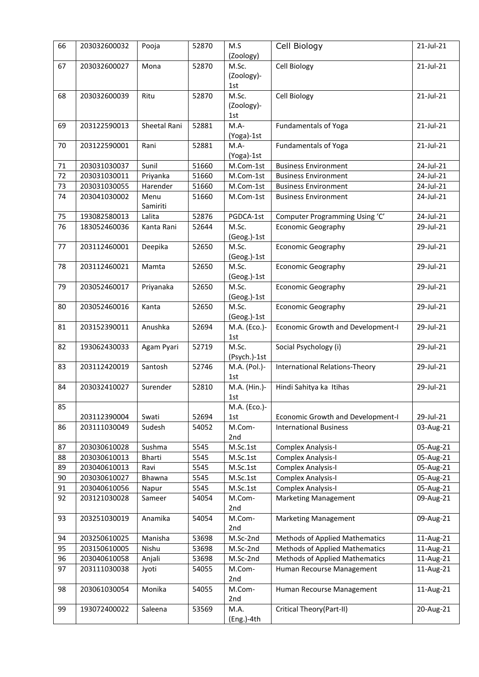| 66 | 203032600032 | Pooja            | 52870 | M.S<br>(Zoology)           | Cell Biology                             | 21-Jul-21    |
|----|--------------|------------------|-------|----------------------------|------------------------------------------|--------------|
| 67 | 203032600027 | Mona             | 52870 | M.Sc.<br>(Zoology)-<br>1st | Cell Biology                             | 21-Jul-21    |
| 68 | 203032600039 | Ritu             | 52870 | M.Sc.<br>(Zoology)-<br>1st | Cell Biology                             | 21-Jul-21    |
| 69 | 203122590013 | Sheetal Rani     | 52881 | $M.A-$<br>(Yoga)-1st       | <b>Fundamentals of Yoga</b>              | 21-Jul-21    |
| 70 | 203122590001 | Rani             | 52881 | $M.A-$<br>(Yoga)-1st       | <b>Fundamentals of Yoga</b>              | $21$ -Jul-21 |
| 71 | 203031030037 | Sunil            | 51660 | M.Com-1st                  | <b>Business Environment</b>              | 24-Jul-21    |
| 72 | 203031030011 | Priyanka         | 51660 | M.Com-1st                  | <b>Business Environment</b>              | 24-Jul-21    |
| 73 | 203031030055 | Harender         | 51660 | M.Com-1st                  | <b>Business Environment</b>              | 24-Jul-21    |
| 74 | 203041030002 | Menu<br>Samiriti | 51660 | M.Com-1st                  | <b>Business Environment</b>              | 24-Jul-21    |
| 75 | 193082580013 | Lalita           | 52876 | PGDCA-1st                  | Computer Programming Using 'C'           | 24-Jul-21    |
| 76 | 183052460036 | Kanta Rani       | 52644 | M.Sc.<br>(Geog.)-1st       | <b>Economic Geography</b>                | 29-Jul-21    |
| 77 | 203112460001 | Deepika          | 52650 | M.Sc.<br>(Geog.)-1st       | <b>Economic Geography</b>                | 29-Jul-21    |
| 78 | 203112460021 | Mamta            | 52650 | M.Sc.<br>(Geog.)-1st       | <b>Economic Geography</b>                | 29-Jul-21    |
| 79 | 203052460017 | Priyanaka        | 52650 | M.Sc.<br>(Geog.)-1st       | <b>Economic Geography</b>                | 29-Jul-21    |
| 80 | 203052460016 | Kanta            | 52650 | M.Sc.<br>(Geog.)-1st       | <b>Economic Geography</b>                | 29-Jul-21    |
| 81 | 203152390011 | Anushka          | 52694 | M.A. (Eco.)-<br>1st        | Economic Growth and Development-I        | 29-Jul-21    |
| 82 | 193062430033 | Agam Pyari       | 52719 | M.Sc.<br>(Psych.)-1st      | Social Psychology (i)                    | 29-Jul-21    |
| 83 | 203112420019 | Santosh          | 52746 | M.A. (Pol.)-<br>1st        | International Relations-Theory           | 29-Jul-21    |
| 84 | 203032410027 | Surender         | 52810 | M.A. (Hin.)-<br>1st        | Hindi Sahitya ka Itihas                  | 29-Jul-21    |
| 85 | 203112390004 | Swati            | 52694 | M.A. (Eco.)-<br>1st        | <b>Economic Growth and Development-I</b> | 29-Jul-21    |
| 86 | 203111030049 | Sudesh           | 54052 | M.Com-<br>2nd              | <b>International Business</b>            | 03-Aug-21    |
| 87 | 203030610028 | Sushma           | 5545  | M.Sc.1st                   | Complex Analysis-I                       | 05-Aug-21    |
| 88 | 203030610013 | Bharti           | 5545  | M.Sc.1st                   | <b>Complex Analysis-I</b>                | 05-Aug-21    |
| 89 | 203040610013 | Ravi             | 5545  | M.Sc.1st                   | <b>Complex Analysis-I</b>                | 05-Aug-21    |
| 90 | 203030610027 | Bhawna           | 5545  | M.Sc.1st                   | <b>Complex Analysis-I</b>                | 05-Aug-21    |
| 91 | 203040610056 | Napur            | 5545  | M.Sc.1st                   | Complex Analysis-I                       | 05-Aug-21    |
| 92 | 203121030028 | Sameer           | 54054 | M.Com-<br>2nd              | <b>Marketing Management</b>              | 09-Aug-21    |
| 93 | 203251030019 | Anamika          | 54054 | M.Com-<br>2nd              | <b>Marketing Management</b>              | 09-Aug-21    |
| 94 | 203250610025 | Manisha          | 53698 | M.Sc-2nd                   | <b>Methods of Applied Mathematics</b>    | 11-Aug-21    |
| 95 | 203150610005 | Nishu            | 53698 | M.Sc-2nd                   | <b>Methods of Applied Mathematics</b>    | 11-Aug-21    |
| 96 | 203040610058 | Anjali           | 53698 | M.Sc-2nd                   | <b>Methods of Applied Mathematics</b>    | 11-Aug-21    |
| 97 | 203111030038 | Jyoti            | 54055 | M.Com-<br>2nd              | Human Recourse Management                | 11-Aug-21    |
| 98 | 203061030054 | Monika           | 54055 | M.Com-<br>2nd              | Human Recourse Management                | 11-Aug-21    |
| 99 | 193072400022 | Saleena          | 53569 | M.A.<br>(Eng.)-4th         | Critical Theory(Part-II)                 | 20-Aug-21    |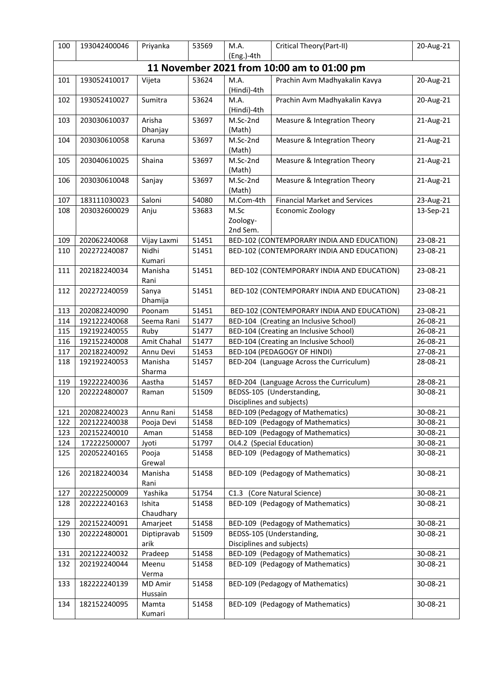| 100 | 193042400046 | Priyanka            | 53569 | M.A.<br>(Eng.)-4th                                     | Critical Theory(Part-II)                   | 20-Aug-21 |
|-----|--------------|---------------------|-------|--------------------------------------------------------|--------------------------------------------|-----------|
|     |              |                     |       |                                                        | 11 November 2021 from 10:00 am to 01:00 pm |           |
| 101 | 193052410017 | Vijeta              | 53624 | M.A.<br>(Hindi)-4th                                    | Prachin Avm Madhyakalin Kavya              | 20-Aug-21 |
| 102 | 193052410027 | Sumitra             | 53624 | M.A.<br>(Hindi)-4th                                    | Prachin Avm Madhyakalin Kavya              | 20-Aug-21 |
| 103 | 203030610037 | Arisha<br>Dhanjay   | 53697 | M.Sc-2nd<br>(Math)                                     | Measure & Integration Theory               | 21-Aug-21 |
| 104 | 203030610058 | Karuna              | 53697 | M.Sc-2nd<br>(Math)                                     | Measure & Integration Theory               | 21-Aug-21 |
| 105 | 203040610025 | Shaina              | 53697 | M.Sc-2nd<br>(Math)                                     | Measure & Integration Theory               | 21-Aug-21 |
| 106 | 203030610048 | Sanjay              | 53697 | M.Sc-2nd<br>(Math)                                     | Measure & Integration Theory               | 21-Aug-21 |
| 107 | 183111030023 | Saloni              | 54080 | M.Com-4th                                              | <b>Financial Market and Services</b>       | 23-Aug-21 |
| 108 | 203032600029 | Anju                | 53683 | M.Sc<br>Zoology-<br>2nd Sem.                           | Economic Zoology                           | 13-Sep-21 |
| 109 | 202062240068 | Vijay Laxmi         | 51451 |                                                        | BED-102 (CONTEMPORARY INDIA AND EDUCATION) | 23-08-21  |
| 110 | 202272240087 | Nidhi<br>Kumari     | 51451 |                                                        | BED-102 (CONTEMPORARY INDIA AND EDUCATION) | 23-08-21  |
| 111 | 202182240034 | Manisha<br>Rani     | 51451 |                                                        | BED-102 (CONTEMPORARY INDIA AND EDUCATION) | 23-08-21  |
| 112 | 202272240059 | Sanya<br>Dhamija    | 51451 | BED-102 (CONTEMPORARY INDIA AND EDUCATION)             |                                            | 23-08-21  |
| 113 | 202082240090 | Poonam              | 51451 |                                                        | BED-102 (CONTEMPORARY INDIA AND EDUCATION) | 23-08-21  |
| 114 | 192122240068 | Seema Rani          | 51477 |                                                        | BED-104 (Creating an Inclusive School)     |           |
| 115 | 192192240055 | Ruby                | 51477 |                                                        | BED-104 (Creating an Inclusive School)     |           |
| 116 | 192152240008 | Amit Chahal         | 51477 |                                                        | BED-104 (Creating an Inclusive School)     |           |
| 117 | 202182240092 | Annu Devi           | 51453 |                                                        | BED-104 (PEDAGOGY OF HINDI)                | 27-08-21  |
| 118 | 192192240053 | Manisha<br>Sharma   | 51457 | BED-204 (Language Across the Curriculum)               |                                            | 28-08-21  |
| 119 | 192222240036 | Aastha              | 51457 |                                                        | BED-204 (Language Across the Curriculum)   | 28-08-21  |
| 120 | 202222480007 | Raman               | 51509 | BEDSS-105 (Understanding,<br>Disciplines and subjects) |                                            | 30-08-21  |
| 121 | 202082240023 | Annu Rani           | 51458 |                                                        | BED-109 (Pedagogy of Mathematics)          | 30-08-21  |
| 122 | 202122240038 | Pooja Devi          | 51458 |                                                        | BED-109 (Pedagogy of Mathematics)          | 30-08-21  |
| 123 | 202152240010 | Aman                | 51458 |                                                        | BED-109 (Pedagogy of Mathematics)          | 30-08-21  |
| 124 | 172222500007 | Jyoti               | 51797 |                                                        | OL4.2 (Special Education)                  | 30-08-21  |
| 125 | 202052240165 | Pooja<br>Grewal     | 51458 | BED-109 (Pedagogy of Mathematics)                      |                                            | 30-08-21  |
| 126 | 202182240034 | Manisha<br>Rani     | 51458 |                                                        | BED-109 (Pedagogy of Mathematics)          | 30-08-21  |
| 127 | 202222500009 | Yashika             | 51754 |                                                        | C1.3 (Core Natural Science)                | 30-08-21  |
| 128 | 202222240163 | Ishita<br>Chaudhary | 51458 | BED-109 (Pedagogy of Mathematics)                      |                                            | 30-08-21  |
| 129 | 202152240091 | Amarjeet            | 51458 |                                                        | BED-109 (Pedagogy of Mathematics)          | 30-08-21  |
| 130 | 202222480001 | Diptipravab<br>arik | 51509 | Disciplines and subjects)                              | BEDSS-105 (Understanding,                  | 30-08-21  |
| 131 | 202122240032 | Pradeep             | 51458 |                                                        | BED-109 (Pedagogy of Mathematics)          | 30-08-21  |
| 132 | 202192240044 | Meenu<br>Verma      | 51458 |                                                        | BED-109 (Pedagogy of Mathematics)          | 30-08-21  |
| 133 | 182222240139 | MD Amir<br>Hussain  | 51458 |                                                        | BED-109 (Pedagogy of Mathematics)          | 30-08-21  |
| 134 | 182152240095 | Mamta<br>Kumari     | 51458 |                                                        | BED-109 (Pedagogy of Mathematics)          | 30-08-21  |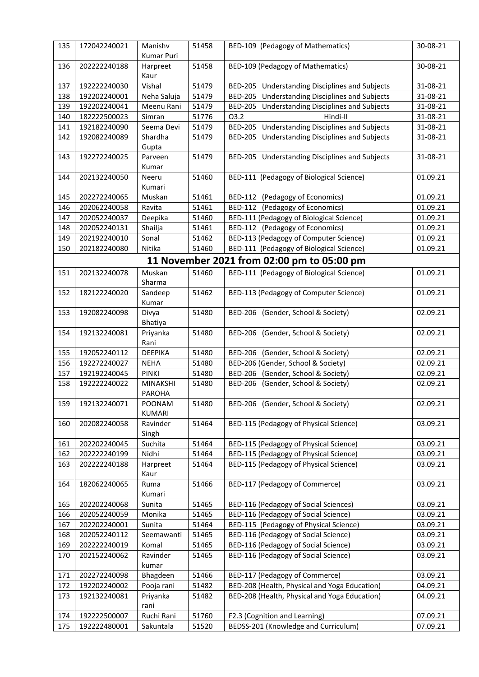| 135 | 172042240021 | Manishv<br>Kumar Puri   | 51458 | BED-109 (Pedagogy of Mathematics)                               | 30-08-21 |
|-----|--------------|-------------------------|-------|-----------------------------------------------------------------|----------|
| 136 | 202222240188 | Harpreet<br>Kaur        | 51458 | BED-109 (Pedagogy of Mathematics)                               | 30-08-21 |
| 137 | 192222240030 | Vishal                  | 51479 | BED-205 Understanding Disciplines and Subjects                  | 31-08-21 |
| 138 | 192202240001 | Neha Saluja             | 51479 | BED-205 Understanding Disciplines and Subjects                  | 31-08-21 |
| 139 | 192202240041 | Meenu Rani              | 51479 | BED-205 Understanding Disciplines and Subjects                  | 31-08-21 |
| 140 | 182222500023 | Simran                  | 51776 | Hindi-II<br>03.2                                                | 31-08-21 |
| 141 | 192182240090 | Seema Devi              | 51479 | <b>Understanding Disciplines and Subjects</b><br><b>BED-205</b> | 31-08-21 |
| 142 | 192082240089 | Shardha                 | 51479 | BED-205 Understanding Disciplines and Subjects                  | 31-08-21 |
|     |              | Gupta                   |       |                                                                 |          |
| 143 | 192272240025 | Parveen                 | 51479 | BED-205 Understanding Disciplines and Subjects                  | 31-08-21 |
|     |              | Kumar                   |       |                                                                 |          |
| 144 | 202132240050 | Neeru                   | 51460 | BED-111 (Pedagogy of Biological Science)                        | 01.09.21 |
|     |              | Kumari                  |       |                                                                 |          |
| 145 | 202272240065 | Muskan                  | 51461 | BED-112 (Pedagogy of Economics)                                 | 01.09.21 |
| 146 | 202062240058 | Ravita                  | 51461 | BED-112 (Pedagogy of Economics)                                 | 01.09.21 |
| 147 | 202052240037 | Deepika                 | 51460 | BED-111 (Pedagogy of Biological Science)                        | 01.09.21 |
| 148 | 202052240131 | Shailja                 | 51461 | BED-112 (Pedagogy of Economics)                                 | 01.09.21 |
| 149 | 202192240010 | Sonal                   | 51462 | BED-113 (Pedagogy of Computer Science)                          | 01.09.21 |
| 150 | 202182240080 | Nitika                  | 51460 | BED-111 (Pedagogy of Biological Science)                        | 01.09.21 |
|     |              |                         |       |                                                                 |          |
|     |              |                         |       | 11 November 2021 from 02:00 pm to 05:00 pm                      |          |
| 151 | 202132240078 | Muskan<br>Sharma        | 51460 | BED-111 (Pedagogy of Biological Science)                        | 01.09.21 |
| 152 | 182122240020 | Sandeep<br>Kumar        | 51462 | BED-113 (Pedagogy of Computer Science)                          | 01.09.21 |
| 153 | 192082240098 | Divya                   | 51480 | BED-206 (Gender, School & Society)                              | 02.09.21 |
|     |              | Bhatiya                 |       |                                                                 |          |
| 154 | 192132240081 | Priyanka<br>Rani        | 51480 | BED-206 (Gender, School & Society)                              | 02.09.21 |
| 155 | 192052240112 | <b>DEEPIKA</b>          | 51480 | <b>BED-206</b><br>(Gender, School & Society)                    | 02.09.21 |
| 156 | 192272240027 | <b>NEHA</b>             | 51480 | BED-206 (Gender, School & Society)                              | 02.09.21 |
| 157 | 192192240045 | <b>PINKI</b>            | 51480 | (Gender, School & Society)<br><b>BED-206</b>                    | 02.09.21 |
| 158 | 192222240022 | <b>MINAKSHI</b>         | 51480 | BED-206 (Gender, School & Society)                              | 02.09.21 |
|     |              | <b>PAROHA</b>           |       |                                                                 |          |
| 159 | 192132240071 | POONAM<br><b>KUMARI</b> | 51480 | BED-206 (Gender, School & Society)                              | 02.09.21 |
| 160 | 202082240058 | Ravinder                | 51464 | BED-115 (Pedagogy of Physical Science)                          | 03.09.21 |
|     |              | Singh                   |       |                                                                 |          |
| 161 | 202202240045 | Suchita                 | 51464 | BED-115 (Pedagogy of Physical Science)                          | 03.09.21 |
| 162 | 202222240199 | Nidhi                   | 51464 | BED-115 (Pedagogy of Physical Science)                          | 03.09.21 |
| 163 | 202222240188 | Harpreet                | 51464 | BED-115 (Pedagogy of Physical Science)                          | 03.09.21 |
|     |              | Kaur                    |       |                                                                 |          |
| 164 | 182062240065 | Ruma                    | 51466 | BED-117 (Pedagogy of Commerce)                                  | 03.09.21 |
|     |              | Kumari                  |       |                                                                 |          |
| 165 | 202202240068 | Sunita                  | 51465 | BED-116 (Pedagogy of Social Sciences)                           | 03.09.21 |
| 166 | 202052240059 | Monika                  | 51465 | BED-116 (Pedagogy of Social Science)                            | 03.09.21 |
| 167 | 202202240001 | Sunita                  | 51464 | BED-115 (Pedagogy of Physical Science)                          | 03.09.21 |
| 168 | 202052240112 | Seemawanti              | 51465 | BED-116 (Pedagogy of Social Science)                            | 03.09.21 |
| 169 | 202222240019 | Komal                   | 51465 | BED-116 (Pedagogy of Social Science)                            | 03.09.21 |
| 170 | 202152240062 | Ravinder                | 51465 | BED-116 (Pedagogy of Social Science)                            | 03.09.21 |
|     |              | kumar                   |       |                                                                 |          |
| 171 | 202272240098 | Bhagdeen                | 51466 | BED-117 (Pedagogy of Commerce)                                  | 03.09.21 |
| 172 | 192202240002 | Pooja rani              | 51482 | BED-208 (Health, Physical and Yoga Education)                   | 04.09.21 |
| 173 | 192132240081 | Priyanka<br>rani        | 51482 | BED-208 (Health, Physical and Yoga Education)                   | 04.09.21 |
| 174 | 192222500007 | Ruchi Rani              | 51760 | F2.3 (Cognition and Learning)                                   | 07.09.21 |
| 175 | 192222480001 | Sakuntala               | 51520 | BEDSS-201 (Knowledge and Curriculum)                            | 07.09.21 |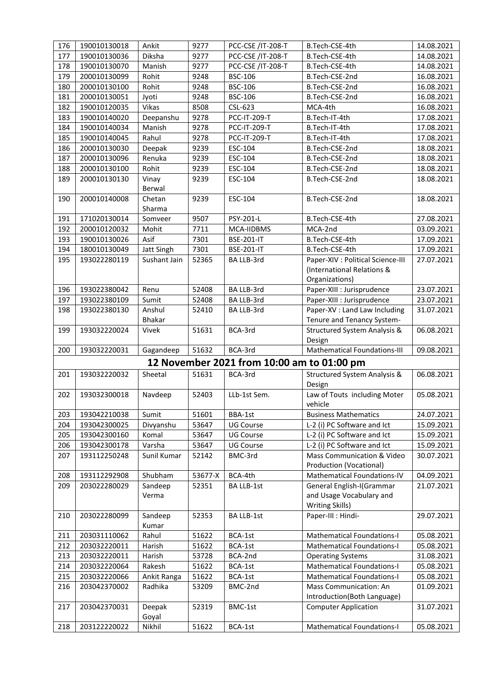| 176 | 190010130018 | Ankit           | 9277    | PCC-CSE /IT-208-T                          | B.Tech-CSE-4th                                             | 14.08.2021               |
|-----|--------------|-----------------|---------|--------------------------------------------|------------------------------------------------------------|--------------------------|
| 177 | 190010130036 | Diksha          | 9277    | PCC-CSE /IT-208-T                          | B.Tech-CSE-4th                                             | 14.08.2021               |
| 178 | 190010130070 | Manish          | 9277    | PCC-CSE /IT-208-T                          | B.Tech-CSE-4th                                             | 14.08.2021               |
| 179 | 200010130099 | Rohit           | 9248    | <b>BSC-106</b>                             | B.Tech-CSE-2nd                                             | 16.08.2021               |
| 180 | 200010130100 | Rohit           | 9248    | <b>BSC-106</b>                             | B.Tech-CSE-2nd                                             | 16.08.2021               |
| 181 | 200010130051 | Jyoti           | 9248    | <b>BSC-106</b>                             | B.Tech-CSE-2nd                                             | 16.08.2021               |
| 182 | 190010120035 | Vikas           | 8508    | CSL-623                                    | MCA-4th                                                    | 16.08.2021               |
| 183 | 190010140020 | Deepanshu       | 9278    | PCC-IT-209-T                               | B.Tech-IT-4th                                              | 17.08.2021               |
| 184 | 190010140034 | Manish          | 9278    | PCC-IT-209-T                               | B.Tech-IT-4th                                              | 17.08.2021               |
| 185 | 190010140045 | Rahul           | 9278    | PCC-IT-209-T                               | B.Tech-IT-4th                                              | 17.08.2021               |
| 186 | 200010130030 | Deepak          | 9239    | ESC-104                                    | B.Tech-CSE-2nd                                             | 18.08.2021               |
| 187 | 200010130096 | Renuka          | 9239    | ESC-104                                    | B.Tech-CSE-2nd                                             | 18.08.2021               |
| 188 | 200010130100 | Rohit           | 9239    | ESC-104                                    | B.Tech-CSE-2nd                                             | 18.08.2021               |
| 189 | 200010130130 | Vinay           | 9239    | ESC-104                                    | B.Tech-CSE-2nd                                             | 18.08.2021               |
|     |              | Berwal          |         |                                            |                                                            |                          |
| 190 | 200010140008 | Chetan          | 9239    | ESC-104                                    | B.Tech-CSE-2nd                                             | 18.08.2021               |
|     |              | Sharma          |         |                                            |                                                            |                          |
| 191 | 171020130014 | Somveer         | 9507    | PSY-201-L                                  | B.Tech-CSE-4th                                             | 27.08.2021               |
| 192 | 200010120032 | Mohit           | 7711    | MCA-IIDBMS                                 | MCA-2nd                                                    | 03.09.2021               |
| 193 | 190010130026 | Asif            | 7301    | <b>BSE-201-IT</b>                          | B.Tech-CSE-4th                                             | 17.09.2021               |
| 194 | 180010130049 | Jatt Singh      | 7301    | <b>BSE-201-IT</b>                          | B.Tech-CSE-4th                                             | 17.09.2021               |
| 195 | 193022280119 | Sushant Jain    | 52365   | BA LLB-3rd                                 | Paper-XIV : Political Science-III                          | 27.07.2021               |
|     |              |                 |         |                                            | (International Relations &                                 |                          |
|     |              |                 |         |                                            | Organizations)                                             |                          |
| 196 | 193022380042 | Renu            | 52408   | BA LLB-3rd                                 | Paper-XIII : Jurisprudence                                 | 23.07.2021               |
| 197 | 193022380109 | Sumit           | 52408   | BA LLB-3rd                                 | Paper-XIII : Jurisprudence                                 | 23.07.2021               |
| 198 | 193022380130 | Anshul          | 52410   | BA LLB-3rd                                 | Paper-XV : Land Law Including                              | 31.07.2021               |
|     |              | <b>Bhakar</b>   |         |                                            | Tenure and Tenancy System-                                 |                          |
| 199 | 193032220024 | Vivek           | 51631   | BCA-3rd                                    | Structured System Analysis &                               | 06.08.2021               |
|     |              |                 |         |                                            | Design                                                     |                          |
| 200 | 193032220031 | Gagandeep       | 51632   | BCA-3rd                                    | Mathematical Foundations-III                               | 09.08.2021               |
|     |              |                 |         | 12 November 2021 from 10:00 am to 01:00 pm |                                                            |                          |
| 201 | 193032220032 | Sheetal         | 51631   | BCA-3rd                                    | Structured System Analysis &                               | 06.08.2021               |
|     |              |                 |         |                                            | Design                                                     |                          |
| 202 | 193032300018 | Navdeep         | 52403   | LLb-1st Sem.                               | Law of Touts including Moter                               | 05.08.2021               |
|     |              |                 |         |                                            | vehicle                                                    |                          |
| 203 | 193042210038 | Sumit           | 51601   | BBA-1st                                    | <b>Business Mathematics</b>                                | 24.07.2021               |
| 204 | 193042300025 | Divyanshu       | 53647   | <b>UG Course</b>                           | L-2 (i) PC Software and Ict                                | 15.09.2021               |
| 205 | 193042300160 | Komal<br>Varsha | 53647   | <b>UG Course</b>                           | L-2 (i) PC Software and Ict<br>L-2 (i) PC Software and Ict | 15.09.2021<br>15.09.2021 |
| 206 | 193042300178 |                 | 53647   | <b>UG Course</b><br>BMC-3rd                | Mass Communication & Video                                 |                          |
| 207 | 193112250248 | Sunil Kumar     | 52142   |                                            | Production (Vocational)                                    | 30.07.2021               |
| 208 | 193112292908 | Shubham         | 53677-X | BCA-4th                                    | Mathematical Foundations-IV                                | 04.09.2021               |
| 209 | 203022280029 | Sandeep         | 52351   | <b>BA LLB-1st</b>                          | General English-I(Grammar                                  | 21.07.2021               |
|     |              | Verma           |         |                                            | and Usage Vocabulary and                                   |                          |
|     |              |                 |         |                                            | Writing Skills)                                            |                          |
| 210 | 203022280099 | Sandeep         | 52353   | <b>BA LLB-1st</b>                          | Paper-III : Hindi-                                         | 29.07.2021               |
|     |              | Kumar           |         |                                            |                                                            |                          |
| 211 | 203031110062 | Rahul           | 51622   | BCA-1st                                    | <b>Mathematical Foundations-I</b>                          | 05.08.2021               |
| 212 | 203032220011 | Harish          | 51622   | BCA-1st                                    | <b>Mathematical Foundations-I</b>                          | 05.08.2021               |
| 213 | 203032220011 | Harish          | 53728   | BCA-2nd                                    | <b>Operating Systems</b>                                   | 31.08.2021               |
| 214 | 203032220064 | Rakesh          | 51622   | BCA-1st                                    | <b>Mathematical Foundations-I</b>                          | 05.08.2021               |
| 215 | 203032220066 | Ankit Ranga     | 51622   | BCA-1st                                    | <b>Mathematical Foundations-I</b>                          | 05.08.2021               |
| 216 | 203042370002 | Radhika         | 53209   | BMC-2nd                                    | Mass Communication: An                                     | 01.09.2021               |
|     |              |                 |         |                                            | Introduction(Both Language)                                |                          |
| 217 | 203042370031 | Deepak          | 52319   | BMC-1st                                    | <b>Computer Application</b>                                | 31.07.2021               |
|     |              | Goyal           |         |                                            |                                                            |                          |
| 218 | 203122220022 | Nikhil          | 51622   | BCA-1st                                    | <b>Mathematical Foundations-I</b>                          | 05.08.2021               |